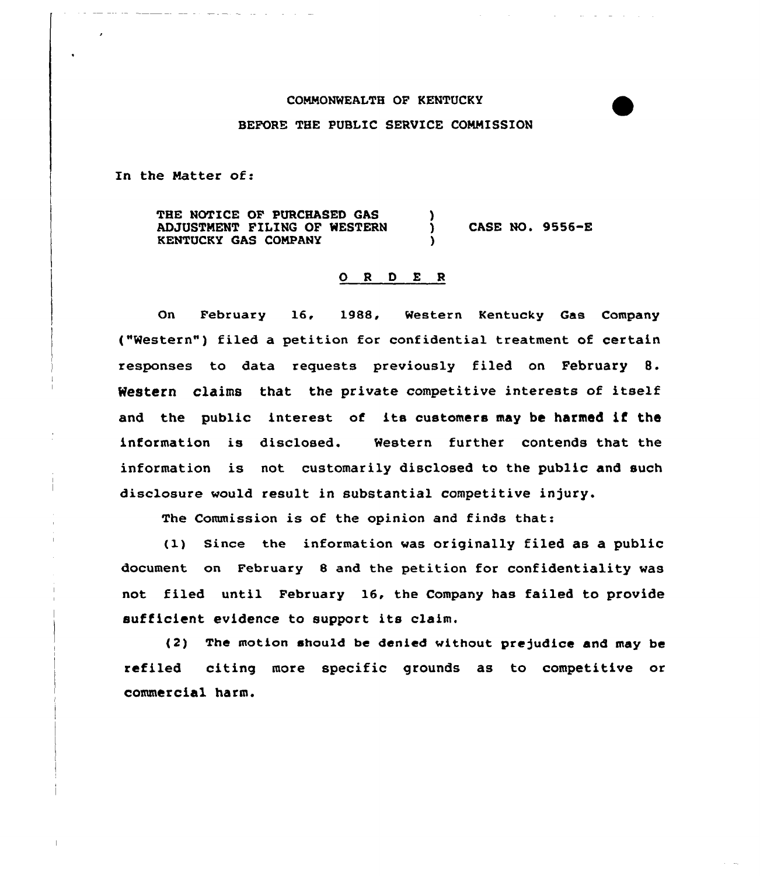## COMMONWEALTH OP KENTUCKY BEFORE THE PUBLIC SERVICE CONNISSION

In the Matter of:

THE NOTICE OP PURCHASED GAS ADJUSTNENT FILING OF WESTERN KENTUCKY GAS CONPANY ) ) CASE 80. 9556-E )

## 0 <sup>R</sup> <sup>D</sup> <sup>E</sup> <sup>R</sup>

On February 16, 1988, Western Kentucky Gas Company ("Western") filed a petition for confidential treatment of certain responses to data requests previously filed on February 8. Western claims that the private competitive interests of itself and the public interest of its customers may be harmed if the information is disclosed. Western further contends that the information is not customarily disclosed to the public and such disclosure would result in substantial competitive injury.

The Commission is of the opinion and finds that:

(1) Since the information, was originally filed as a public document on February 8 and the petition for confidentiality was not filed until February 16, the Company has failed to provide sufficient evidence to support its claim.

(2) The motion should be denied without prejudice and may be refiled citing more specific grounds as to competitive or commercial harm.